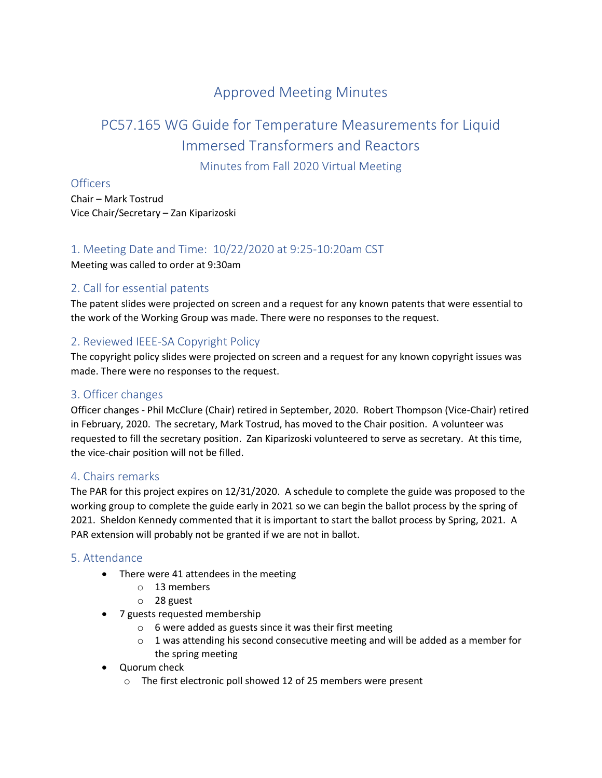# Approved Meeting Minutes

# PC57.165 WG Guide for Temperature Measurements for Liquid Immersed Transformers and Reactors

Minutes from Fall 2020 Virtual Meeting

# Officers

Chair – Mark Tostrud Vice Chair/Secretary – Zan Kiparizoski

# 1. Meeting Date and Time: 10/22/2020 at 9:25-10:20am CST

Meeting was called to order at 9:30am

# 2. Call for essential patents

The patent slides were projected on screen and a request for any known patents that were essential to the work of the Working Group was made. There were no responses to the request.

# 2. Reviewed IEEE-SA Copyright Policy

The copyright policy slides were projected on screen and a request for any known copyright issues was made. There were no responses to the request.

# 3. Officer changes

Officer changes - Phil McClure (Chair) retired in September, 2020. Robert Thompson (Vice-Chair) retired in February, 2020. The secretary, Mark Tostrud, has moved to the Chair position. A volunteer was requested to fill the secretary position. Zan Kiparizoski volunteered to serve as secretary. At this time, the vice-chair position will not be filled.

#### 4. Chairs remarks

The PAR for this project expires on 12/31/2020. A schedule to complete the guide was proposed to the working group to complete the guide early in 2021 so we can begin the ballot process by the spring of 2021. Sheldon Kennedy commented that it is important to start the ballot process by Spring, 2021. A PAR extension will probably not be granted if we are not in ballot.

#### 5. Attendance

- There were 41 attendees in the meeting
	- o 13 members
	- o 28 guest
- 7 guests requested membership
	- o 6 were added as guests since it was their first meeting
	- $\circ$  1 was attending his second consecutive meeting and will be added as a member for the spring meeting
- Quorum check
	- o The first electronic poll showed 12 of 25 members were present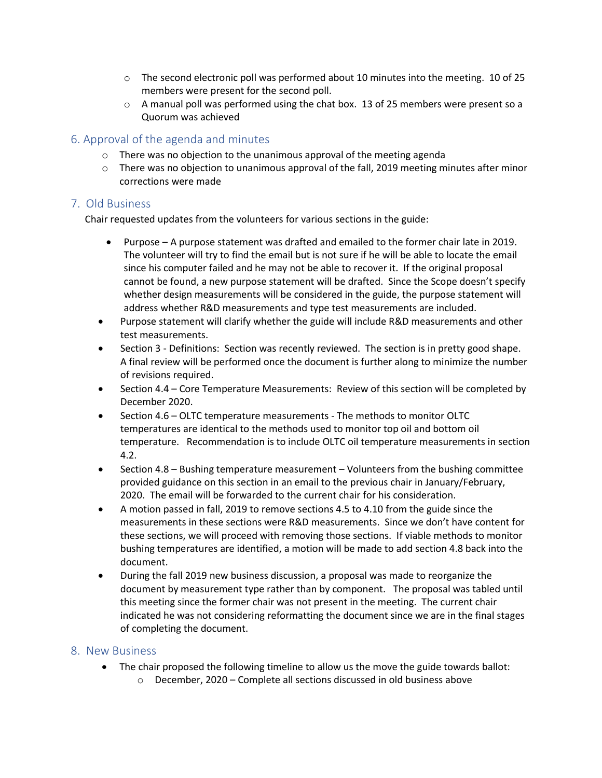- $\circ$  The second electronic poll was performed about 10 minutes into the meeting. 10 of 25 members were present for the second poll.
- $\circ$  A manual poll was performed using the chat box. 13 of 25 members were present so a Quorum was achieved

# 6. Approval of the agenda and minutes

- $\circ$  There was no objection to the unanimous approval of the meeting agenda
- $\circ$  There was no objection to unanimous approval of the fall, 2019 meeting minutes after minor corrections were made

# 7. Old Business

Chair requested updates from the volunteers for various sections in the guide:

- Purpose A purpose statement was drafted and emailed to the former chair late in 2019. The volunteer will try to find the email but is not sure if he will be able to locate the email since his computer failed and he may not be able to recover it. If the original proposal cannot be found, a new purpose statement will be drafted. Since the Scope doesn't specify whether design measurements will be considered in the guide, the purpose statement will address whether R&D measurements and type test measurements are included.
- Purpose statement will clarify whether the guide will include R&D measurements and other test measurements.
- Section 3 Definitions: Section was recently reviewed. The section is in pretty good shape. A final review will be performed once the document is further along to minimize the number of revisions required.
- Section 4.4 Core Temperature Measurements: Review of this section will be completed by December 2020.
- Section 4.6 OLTC temperature measurements The methods to monitor OLTC temperatures are identical to the methods used to monitor top oil and bottom oil temperature. Recommendation is to include OLTC oil temperature measurements in section 4.2.
- Section 4.8 Bushing temperature measurement Volunteers from the bushing committee provided guidance on this section in an email to the previous chair in January/February, 2020. The email will be forwarded to the current chair for his consideration.
- A motion passed in fall, 2019 to remove sections 4.5 to 4.10 from the guide since the measurements in these sections were R&D measurements. Since we don't have content for these sections, we will proceed with removing those sections. If viable methods to monitor bushing temperatures are identified, a motion will be made to add section 4.8 back into the document.
- During the fall 2019 new business discussion, a proposal was made to reorganize the document by measurement type rather than by component. The proposal was tabled until this meeting since the former chair was not present in the meeting. The current chair indicated he was not considering reformatting the document since we are in the final stages of completing the document.

#### 8. New Business

- The chair proposed the following timeline to allow us the move the guide towards ballot:
	- o December, 2020 Complete all sections discussed in old business above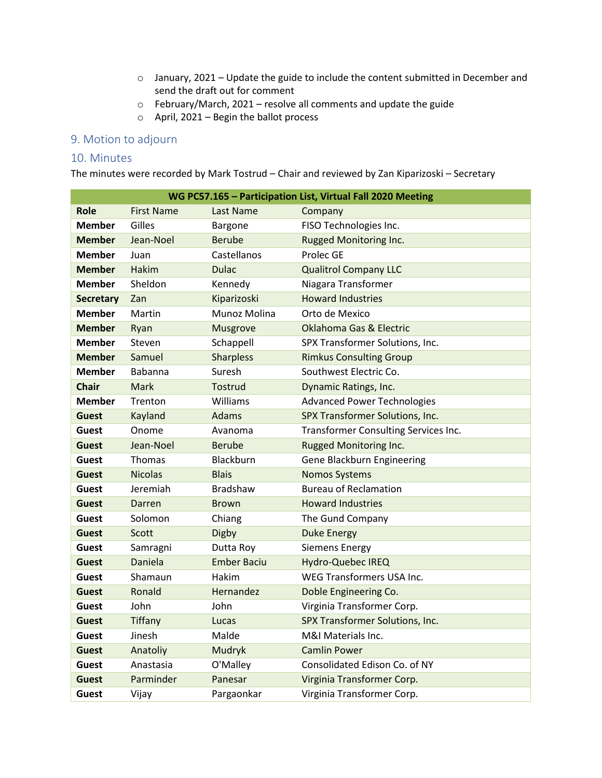- o January, 2021 Update the guide to include the content submitted in December and send the draft out for comment
- o February/March, 2021 resolve all comments and update the guide
- $\circ$  April, 2021 Begin the ballot process

# 9. Motion to adjourn

#### 10. Minutes

The minutes were recorded by Mark Tostrud – Chair and reviewed by Zan Kiparizoski – Secretary

| WG PC57.165 - Participation List, Virtual Fall 2020 Meeting |                   |                    |                                      |  |
|-------------------------------------------------------------|-------------------|--------------------|--------------------------------------|--|
| <b>Role</b>                                                 | <b>First Name</b> | Last Name          | Company                              |  |
| <b>Member</b>                                               | Gilles            | Bargone            | FISO Technologies Inc.               |  |
| <b>Member</b>                                               | Jean-Noel         | <b>Berube</b>      | Rugged Monitoring Inc.               |  |
| <b>Member</b>                                               | Juan              | Castellanos        | Prolec GE                            |  |
| <b>Member</b>                                               | <b>Hakim</b>      | <b>Dulac</b>       | <b>Qualitrol Company LLC</b>         |  |
| <b>Member</b>                                               | Sheldon           | Kennedy            | Niagara Transformer                  |  |
| <b>Secretary</b>                                            | Zan               | Kiparizoski        | <b>Howard Industries</b>             |  |
| <b>Member</b>                                               | Martin            | Munoz Molina       | Orto de Mexico                       |  |
| <b>Member</b>                                               | Ryan              | Musgrove           | <b>Oklahoma Gas &amp; Electric</b>   |  |
| <b>Member</b>                                               | Steven            | Schappell          | SPX Transformer Solutions, Inc.      |  |
| <b>Member</b>                                               | Samuel            | <b>Sharpless</b>   | <b>Rimkus Consulting Group</b>       |  |
| <b>Member</b>                                               | <b>Babanna</b>    | Suresh             | Southwest Electric Co.               |  |
| <b>Chair</b>                                                | Mark              | Tostrud            | Dynamic Ratings, Inc.                |  |
| <b>Member</b>                                               | Trenton           | Williams           | <b>Advanced Power Technologies</b>   |  |
| <b>Guest</b>                                                | Kayland           | Adams              | SPX Transformer Solutions, Inc.      |  |
| Guest                                                       | Onome             | Avanoma            | Transformer Consulting Services Inc. |  |
| <b>Guest</b>                                                | Jean-Noel         | <b>Berube</b>      | Rugged Monitoring Inc.               |  |
| Guest                                                       | Thomas            | Blackburn          | Gene Blackburn Engineering           |  |
| <b>Guest</b>                                                | <b>Nicolas</b>    | <b>Blais</b>       | <b>Nomos Systems</b>                 |  |
| Guest                                                       | Jeremiah          | <b>Bradshaw</b>    | <b>Bureau of Reclamation</b>         |  |
| <b>Guest</b>                                                | Darren            | <b>Brown</b>       | <b>Howard Industries</b>             |  |
| <b>Guest</b>                                                | Solomon           | Chiang             | The Gund Company                     |  |
| <b>Guest</b>                                                | Scott             | Digby              | <b>Duke Energy</b>                   |  |
| <b>Guest</b>                                                | Samragni          | Dutta Roy          | <b>Siemens Energy</b>                |  |
| <b>Guest</b>                                                | Daniela           | <b>Ember Baciu</b> | Hydro-Quebec IREQ                    |  |
| <b>Guest</b>                                                | Shamaun           | Hakim              | WEG Transformers USA Inc.            |  |
| Guest                                                       | Ronald            | Hernandez          | Doble Engineering Co.                |  |
| <b>Guest</b>                                                | John              | John               | Virginia Transformer Corp.           |  |
| <b>Guest</b>                                                | <b>Tiffany</b>    | Lucas              | SPX Transformer Solutions, Inc.      |  |
| Guest                                                       | Jinesh            | Malde              | M&I Materials Inc.                   |  |
| <b>Guest</b>                                                | Anatoliy          | Mudryk             | <b>Camlin Power</b>                  |  |
| <b>Guest</b>                                                | Anastasia         | O'Malley           | Consolidated Edison Co. of NY        |  |
| <b>Guest</b>                                                | Parminder         | Panesar            | Virginia Transformer Corp.           |  |
| Guest                                                       | Vijay             | Pargaonkar         | Virginia Transformer Corp.           |  |